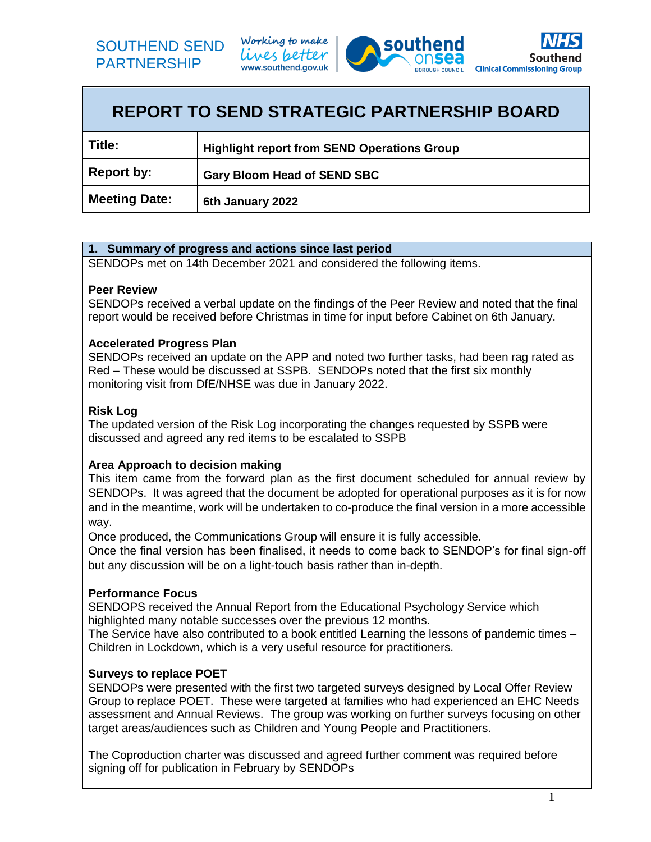





| <b>REPORT TO SEND STRATEGIC PARTNERSHIP BOARD</b> |                                                    |  |
|---------------------------------------------------|----------------------------------------------------|--|
| Title:                                            | <b>Highlight report from SEND Operations Group</b> |  |
| <b>Report by:</b>                                 | <b>Gary Bloom Head of SEND SBC</b>                 |  |
| <b>Meeting Date:</b>                              | 6th January 2022                                   |  |

## **1. Summary of progress and actions since last period**

SENDOPs met on 14th December 2021 and considered the following items.

#### **Peer Review**

SENDOPs received a verbal update on the findings of the Peer Review and noted that the final report would be received before Christmas in time for input before Cabinet on 6th January.

#### **Accelerated Progress Plan**

SENDOPs received an update on the APP and noted two further tasks, had been rag rated as Red – These would be discussed at SSPB. SENDOPs noted that the first six monthly monitoring visit from DfE/NHSE was due in January 2022.

## **Risk Log**

The updated version of the Risk Log incorporating the changes requested by SSPB were discussed and agreed any red items to be escalated to SSPB

#### **Area Approach to decision making**

This item came from the forward plan as the first document scheduled for annual review by SENDOPs. It was agreed that the document be adopted for operational purposes as it is for now and in the meantime, work will be undertaken to co-produce the final version in a more accessible way.

Once produced, the Communications Group will ensure it is fully accessible.

Once the final version has been finalised, it needs to come back to SENDOP's for final sign-off but any discussion will be on a light-touch basis rather than in-depth.

#### **Performance Focus**

SENDOPS received the Annual Report from the Educational Psychology Service which highlighted many notable successes over the previous 12 months.

The Service have also contributed to a book entitled Learning the lessons of pandemic times – Children in Lockdown, which is a very useful resource for practitioners.

#### **Surveys to replace POET**

SENDOPs were presented with the first two targeted surveys designed by Local Offer Review Group to replace POET. These were targeted at families who had experienced an EHC Needs assessment and Annual Reviews. The group was working on further surveys focusing on other target areas/audiences such as Children and Young People and Practitioners.

The Coproduction charter was discussed and agreed further comment was required before signing off for publication in February by SENDOPs